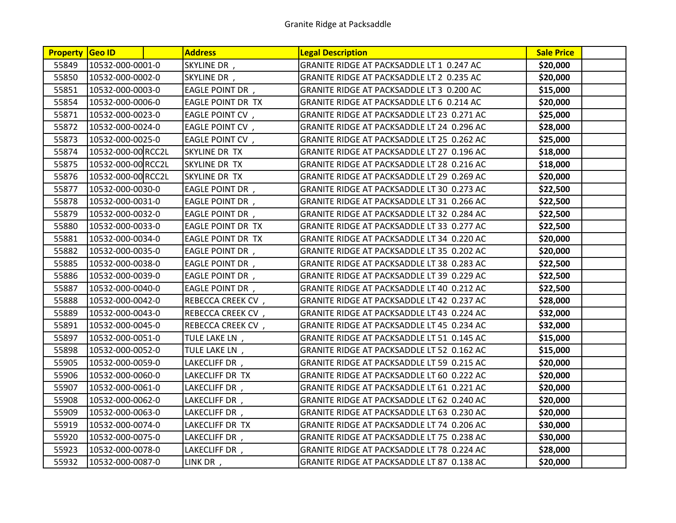| <b>Property Geo ID</b> |                    | <b>Address</b>           | <b>Legal Description</b>                   | <b>Sale Price</b> |  |
|------------------------|--------------------|--------------------------|--------------------------------------------|-------------------|--|
| 55849                  | 10532-000-0001-0   | SKYLINE DR,              | GRANITE RIDGE AT PACKSADDLE LT 1 0.247 AC  | \$20,000          |  |
| 55850                  | 10532-000-0002-0   | SKYLINE DR,              | GRANITE RIDGE AT PACKSADDLE LT 2 0.235 AC  | \$20,000          |  |
| 55851                  | 10532-000-0003-0   | <b>EAGLE POINT DR</b> ,  | GRANITE RIDGE AT PACKSADDLE LT 3 0.200 AC  | \$15,000          |  |
| 55854                  | 10532-000-0006-0   | EAGLE POINT DR TX        | GRANITE RIDGE AT PACKSADDLE LT 6 0.214 AC  | \$20,000          |  |
| 55871                  | 10532-000-0023-0   | <b>EAGLE POINT CV,</b>   | GRANITE RIDGE AT PACKSADDLE LT 23 0.271 AC | \$25,000          |  |
| 55872                  | 10532-000-0024-0   | <b>EAGLE POINT CV</b> ,  | GRANITE RIDGE AT PACKSADDLE LT 24 0.296 AC | \$28,000          |  |
| 55873                  | 10532-000-0025-0   | <b>EAGLE POINT CV,</b>   | GRANITE RIDGE AT PACKSADDLE LT 25 0.262 AC | \$25,000          |  |
| 55874                  | 10532-000-00 RCC2L | SKYLINE DR TX            | GRANITE RIDGE AT PACKSADDLE LT 27 0.196 AC | \$18,000          |  |
| 55875                  | 10532-000-00 RCC2L | SKYLINE DR TX            | GRANITE RIDGE AT PACKSADDLE LT 28 0.216 AC | \$18,000          |  |
| 55876                  | 10532-000-00 RCC2L | SKYLINE DR TX            | GRANITE RIDGE AT PACKSADDLE LT 29 0.269 AC | \$20,000          |  |
| 55877                  | 10532-000-0030-0   | <b>EAGLE POINT DR</b> ,  | GRANITE RIDGE AT PACKSADDLE LT 30 0.273 AC | \$22,500          |  |
| 55878                  | 10532-000-0031-0   | <b>EAGLE POINT DR</b> ,  | GRANITE RIDGE AT PACKSADDLE LT 31 0.266 AC | \$22,500          |  |
| 55879                  | 10532-000-0032-0   | <b>EAGLE POINT DR</b> ,  | GRANITE RIDGE AT PACKSADDLE LT 32 0.284 AC | \$22,500          |  |
| 55880                  | 10532-000-0033-0   | EAGLE POINT DR TX        | GRANITE RIDGE AT PACKSADDLE LT 33 0.277 AC | \$22,500          |  |
| 55881                  | 10532-000-0034-0   | <b>EAGLE POINT DR TX</b> | GRANITE RIDGE AT PACKSADDLE LT 34 0.220 AC | \$20,000          |  |
| 55882                  | 10532-000-0035-0   | EAGLE POINT DR,          | GRANITE RIDGE AT PACKSADDLE LT 35 0.202 AC | \$20,000          |  |
| 55885                  | 10532-000-0038-0   | <b>EAGLE POINT DR</b> ,  | GRANITE RIDGE AT PACKSADDLE LT 38 0.283 AC | \$22,500          |  |
| 55886                  | 10532-000-0039-0   | <b>EAGLE POINT DR</b> ,  | GRANITE RIDGE AT PACKSADDLE LT 39 0.229 AC | \$22,500          |  |
| 55887                  | 10532-000-0040-0   | <b>EAGLE POINT DR</b> ,  | GRANITE RIDGE AT PACKSADDLE LT 40 0.212 AC | \$22,500          |  |
| 55888                  | 10532-000-0042-0   | REBECCA CREEK CV,        | GRANITE RIDGE AT PACKSADDLE LT 42 0.237 AC | \$28,000          |  |
| 55889                  | 10532-000-0043-0   | REBECCA CREEK CV,        | GRANITE RIDGE AT PACKSADDLE LT 43 0.224 AC | \$32,000          |  |
| 55891                  | 10532-000-0045-0   | REBECCA CREEK CV,        | GRANITE RIDGE AT PACKSADDLE LT 45 0.234 AC | \$32,000          |  |
| 55897                  | 10532-000-0051-0   | TULE LAKE LN,            | GRANITE RIDGE AT PACKSADDLE LT 51 0.145 AC | \$15,000          |  |
| 55898                  | 10532-000-0052-0   | TULE LAKE LN,            | GRANITE RIDGE AT PACKSADDLE LT 52 0.162 AC | \$15,000          |  |
| 55905                  | 10532-000-0059-0   | LAKECLIFF DR,            | GRANITE RIDGE AT PACKSADDLE LT 59 0.215 AC | \$20,000          |  |
| 55906                  | 10532-000-0060-0   | LAKECLIFF DR TX          | GRANITE RIDGE AT PACKSADDLE LT 60 0.222 AC | \$20,000          |  |
| 55907                  | 10532-000-0061-0   | LAKECLIFF DR,            | GRANITE RIDGE AT PACKSADDLE LT 61 0.221 AC | \$20,000          |  |
| 55908                  | 10532-000-0062-0   | LAKECLIFF DR,            | GRANITE RIDGE AT PACKSADDLE LT 62 0.240 AC | \$20,000          |  |
| 55909                  | 10532-000-0063-0   | LAKECLIFF DR,            | GRANITE RIDGE AT PACKSADDLE LT 63 0.230 AC | \$20,000          |  |
| 55919                  | 10532-000-0074-0   | LAKECLIFF DR TX          | GRANITE RIDGE AT PACKSADDLE LT 74 0.206 AC | \$30,000          |  |
| 55920                  | 10532-000-0075-0   | LAKECLIFF DR,            | GRANITE RIDGE AT PACKSADDLE LT 75 0.238 AC | \$30,000          |  |
| 55923                  | 10532-000-0078-0   | LAKECLIFF DR,            | GRANITE RIDGE AT PACKSADDLE LT 78 0.224 AC | \$28,000          |  |
| 55932                  | 10532-000-0087-0   | LINK DR,                 | GRANITE RIDGE AT PACKSADDLE LT 87 0.138 AC | \$20,000          |  |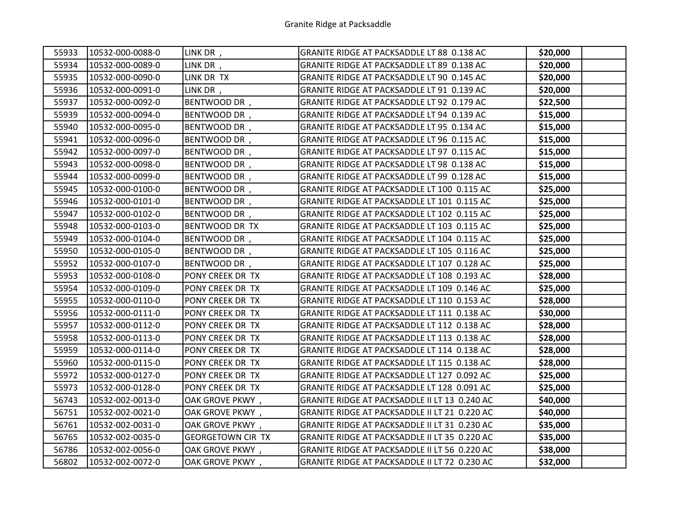| 55933 | 10532-000-0088-0 | LINK DR,                 | GRANITE RIDGE AT PACKSADDLE LT 88 0.138 AC    | \$20,000 |  |
|-------|------------------|--------------------------|-----------------------------------------------|----------|--|
| 55934 | 10532-000-0089-0 | LINK DR,                 | GRANITE RIDGE AT PACKSADDLE LT 89 0.138 AC    | \$20,000 |  |
| 55935 | 10532-000-0090-0 | LINK DR TX               | GRANITE RIDGE AT PACKSADDLE LT 90 0.145 AC    | \$20,000 |  |
| 55936 | 10532-000-0091-0 | LINK DR,                 | GRANITE RIDGE AT PACKSADDLE LT 91 0.139 AC    | \$20,000 |  |
| 55937 | 10532-000-0092-0 | BENTWOOD DR,             | GRANITE RIDGE AT PACKSADDLE LT 92 0.179 AC    | \$22,500 |  |
| 55939 | 10532-000-0094-0 | BENTWOOD DR,             | GRANITE RIDGE AT PACKSADDLE LT 94 0.139 AC    | \$15,000 |  |
| 55940 | 10532-000-0095-0 | BENTWOOD DR,             | GRANITE RIDGE AT PACKSADDLE LT 95 0.134 AC    | \$15,000 |  |
| 55941 | 10532-000-0096-0 | BENTWOOD DR,             | GRANITE RIDGE AT PACKSADDLE LT 96 0.115 AC    | \$15,000 |  |
| 55942 | 10532-000-0097-0 | BENTWOOD DR,             | GRANITE RIDGE AT PACKSADDLE LT 97 0.115 AC    | \$15,000 |  |
| 55943 | 10532-000-0098-0 | BENTWOOD DR,             | GRANITE RIDGE AT PACKSADDLE LT 98 0.138 AC    | \$15,000 |  |
| 55944 | 10532-000-0099-0 | BENTWOOD DR,             | GRANITE RIDGE AT PACKSADDLE LT 99 0.128 AC    | \$15,000 |  |
| 55945 | 10532-000-0100-0 | BENTWOOD DR,             | GRANITE RIDGE AT PACKSADDLE LT 100 0.115 AC   | \$25,000 |  |
| 55946 | 10532-000-0101-0 | BENTWOOD DR,             | GRANITE RIDGE AT PACKSADDLE LT 101 0.115 AC   | \$25,000 |  |
| 55947 | 10532-000-0102-0 | BENTWOOD DR,             | GRANITE RIDGE AT PACKSADDLE LT 102 0.115 AC   | \$25,000 |  |
| 55948 | 10532-000-0103-0 | BENTWOOD DR TX           | GRANITE RIDGE AT PACKSADDLE LT 103 0.115 AC   | \$25,000 |  |
| 55949 | 10532-000-0104-0 | BENTWOOD DR,             | GRANITE RIDGE AT PACKSADDLE LT 104 0.115 AC   | \$25,000 |  |
| 55950 | 10532-000-0105-0 | BENTWOOD DR,             | GRANITE RIDGE AT PACKSADDLE LT 105 0.116 AC   | \$25,000 |  |
| 55952 | 10532-000-0107-0 | BENTWOOD DR,             | GRANITE RIDGE AT PACKSADDLE LT 107 0.128 AC   | \$25,000 |  |
| 55953 | 10532-000-0108-0 | PONY CREEK DR TX         | GRANITE RIDGE AT PACKSADDLE LT 108 0.193 AC   | \$28,000 |  |
| 55954 | 10532-000-0109-0 | PONY CREEK DR TX         | GRANITE RIDGE AT PACKSADDLE LT 109 0.146 AC   | \$25,000 |  |
| 55955 | 10532-000-0110-0 | PONY CREEK DR TX         | GRANITE RIDGE AT PACKSADDLE LT 110 0.153 AC   | \$28,000 |  |
| 55956 | 10532-000-0111-0 | PONY CREEK DR TX         | GRANITE RIDGE AT PACKSADDLE LT 111 0.138 AC   | \$30,000 |  |
| 55957 | 10532-000-0112-0 | PONY CREEK DR TX         | GRANITE RIDGE AT PACKSADDLE LT 112 0.138 AC   | \$28,000 |  |
| 55958 | 10532-000-0113-0 | PONY CREEK DR TX         | GRANITE RIDGE AT PACKSADDLE LT 113 0.138 AC   | \$28,000 |  |
| 55959 | 10532-000-0114-0 | PONY CREEK DR TX         | GRANITE RIDGE AT PACKSADDLE LT 114 0.138 AC   | \$28,000 |  |
| 55960 | 10532-000-0115-0 | PONY CREEK DR TX         | GRANITE RIDGE AT PACKSADDLE LT 115 0.138 AC   | \$28,000 |  |
| 55972 | 10532-000-0127-0 | PONY CREEK DR TX         | GRANITE RIDGE AT PACKSADDLE LT 127 0.092 AC   | \$25,000 |  |
| 55973 | 10532-000-0128-0 | PONY CREEK DR TX         | GRANITE RIDGE AT PACKSADDLE LT 128 0.091 AC   | \$25,000 |  |
| 56743 | 10532-002-0013-0 | OAK GROVE PKWY,          | GRANITE RIDGE AT PACKSADDLE II LT 13 0.240 AC | \$40,000 |  |
| 56751 | 10532-002-0021-0 | OAK GROVE PKWY,          | GRANITE RIDGE AT PACKSADDLE II LT 21 0.220 AC | \$40,000 |  |
| 56761 | 10532-002-0031-0 | OAK GROVE PKWY,          | GRANITE RIDGE AT PACKSADDLE II LT 31 0.230 AC | \$35,000 |  |
| 56765 | 10532-002-0035-0 | <b>GEORGETOWN CIR TX</b> | GRANITE RIDGE AT PACKSADDLE II LT 35 0.220 AC | \$35,000 |  |
| 56786 | 10532-002-0056-0 | OAK GROVE PKWY,          | GRANITE RIDGE AT PACKSADDLE II LT 56 0.220 AC | \$38,000 |  |
| 56802 | 10532-002-0072-0 | OAK GROVE PKWY,          | GRANITE RIDGE AT PACKSADDLE II LT 72 0.230 AC | \$32,000 |  |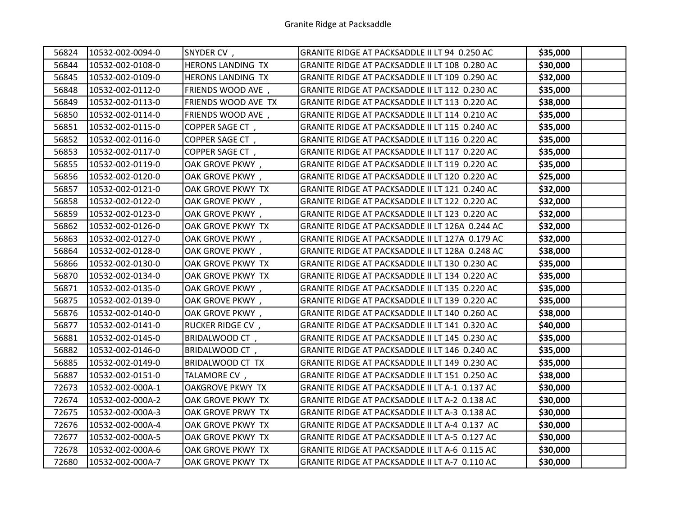| 56824 | 10532-002-0094-0 | SNYDER CV,              | GRANITE RIDGE AT PACKSADDLE II LT 94 0.250 AC   | \$35,000 |  |
|-------|------------------|-------------------------|-------------------------------------------------|----------|--|
| 56844 | 10532-002-0108-0 | HERONS LANDING TX       | GRANITE RIDGE AT PACKSADDLE II LT 108 0.280 AC  | \$30,000 |  |
| 56845 | 10532-002-0109-0 | HERONS LANDING TX       | GRANITE RIDGE AT PACKSADDLE II LT 109 0.290 AC  | \$32,000 |  |
| 56848 | 10532-002-0112-0 | FRIENDS WOOD AVE,       | GRANITE RIDGE AT PACKSADDLE II LT 112 0.230 AC  | \$35,000 |  |
| 56849 | 10532-002-0113-0 | FRIENDS WOOD AVE TX     | GRANITE RIDGE AT PACKSADDLE II LT 113 0.220 AC  | \$38,000 |  |
| 56850 | 10532-002-0114-0 | FRIENDS WOOD AVE,       | GRANITE RIDGE AT PACKSADDLE II LT 114 0.210 AC  | \$35,000 |  |
| 56851 | 10532-002-0115-0 | COPPER SAGE CT,         | GRANITE RIDGE AT PACKSADDLE II LT 115 0.240 AC  | \$35,000 |  |
| 56852 | 10532-002-0116-0 | COPPER SAGE CT,         | GRANITE RIDGE AT PACKSADDLE II LT 116 0.220 AC  | \$35,000 |  |
| 56853 | 10532-002-0117-0 | COPPER SAGE CT,         | GRANITE RIDGE AT PACKSADDLE II LT 117 0.220 AC  | \$35,000 |  |
| 56855 | 10532-002-0119-0 | OAK GROVE PKWY,         | GRANITE RIDGE AT PACKSADDLE II LT 119 0.220 AC  | \$35,000 |  |
| 56856 | 10532-002-0120-0 | OAK GROVE PKWY,         | GRANITE RIDGE AT PACKSADDLE II LT 120 0.220 AC  | \$25,000 |  |
| 56857 | 10532-002-0121-0 | OAK GROVE PKWY TX       | GRANITE RIDGE AT PACKSADDLE II LT 121 0.240 AC  | \$32,000 |  |
| 56858 | 10532-002-0122-0 | OAK GROVE PKWY,         | GRANITE RIDGE AT PACKSADDLE II LT 122 0.220 AC  | \$32,000 |  |
| 56859 | 10532-002-0123-0 | OAK GROVE PKWY,         | GRANITE RIDGE AT PACKSADDLE II LT 123 0.220 AC  | \$32,000 |  |
| 56862 | 10532-002-0126-0 | OAK GROVE PKWY TX       | GRANITE RIDGE AT PACKSADDLE II LT 126A 0.244 AC | \$32,000 |  |
| 56863 | 10532-002-0127-0 | OAK GROVE PKWY,         | GRANITE RIDGE AT PACKSADDLE II LT 127A 0.179 AC | \$32,000 |  |
| 56864 | 10532-002-0128-0 | OAK GROVE PKWY,         | GRANITE RIDGE AT PACKSADDLE II LT 128A 0.248 AC | \$38,000 |  |
| 56866 | 10532-002-0130-0 | OAK GROVE PKWY TX       | GRANITE RIDGE AT PACKSADDLE II LT 130 0.230 AC  | \$35,000 |  |
| 56870 | 10532-002-0134-0 | OAK GROVE PKWY TX       | GRANITE RIDGE AT PACKSADDLE II LT 134 0.220 AC  | \$35,000 |  |
| 56871 | 10532-002-0135-0 | OAK GROVE PKWY,         | GRANITE RIDGE AT PACKSADDLE II LT 135 0.220 AC  | \$35,000 |  |
| 56875 | 10532-002-0139-0 | OAK GROVE PKWY,         | GRANITE RIDGE AT PACKSADDLE II LT 139 0.220 AC  | \$35,000 |  |
| 56876 | 10532-002-0140-0 | OAK GROVE PKWY,         | GRANITE RIDGE AT PACKSADDLE II LT 140 0.260 AC  | \$38,000 |  |
| 56877 | 10532-002-0141-0 | RUCKER RIDGE CV,        | GRANITE RIDGE AT PACKSADDLE II LT 141 0.320 AC  | \$40,000 |  |
| 56881 | 10532-002-0145-0 | BRIDALWOOD CT,          | GRANITE RIDGE AT PACKSADDLE II LT 145 0.230 AC  | \$35,000 |  |
| 56882 | 10532-002-0146-0 | BRIDALWOOD CT,          | GRANITE RIDGE AT PACKSADDLE II LT 146 0.240 AC  | \$35,000 |  |
| 56885 | 10532-002-0149-0 | BRIDALWOOD CT TX        | GRANITE RIDGE AT PACKSADDLE II LT 149 0.230 AC  | \$35,000 |  |
| 56887 | 10532-002-0151-0 | TALAMORE CV,            | GRANITE RIDGE AT PACKSADDLE II LT 151 0.250 AC  | \$38,000 |  |
| 72673 | 10532-002-000A-1 | <b>OAKGROVE PKWY TX</b> | GRANITE RIDGE AT PACKSADDLE II LT A-1 0.137 AC  | \$30,000 |  |
| 72674 | 10532-002-000A-2 | OAK GROVE PKWY TX       | GRANITE RIDGE AT PACKSADDLE II LT A-2 0.138 AC  | \$30,000 |  |
| 72675 | 10532-002-000A-3 | OAK GROVE PRWY TX       | GRANITE RIDGE AT PACKSADDLE II LT A-3 0.138 AC  | \$30,000 |  |
| 72676 | 10532-002-000A-4 | OAK GROVE PKWY TX       | GRANITE RIDGE AT PACKSADDLE II LT A-4 0.137 AC  | \$30,000 |  |
| 72677 | 10532-002-000A-5 | OAK GROVE PKWY TX       | GRANITE RIDGE AT PACKSADDLE II LT A-5 0.127 AC  | \$30,000 |  |
| 72678 | 10532-002-000A-6 | OAK GROVE PKWY TX       | GRANITE RIDGE AT PACKSADDLE II LT A-6 0.115 AC  | \$30,000 |  |
| 72680 | 10532-002-000A-7 | OAK GROVE PKWY TX       | GRANITE RIDGE AT PACKSADDLE II LT A-7 0.110 AC  | \$30,000 |  |